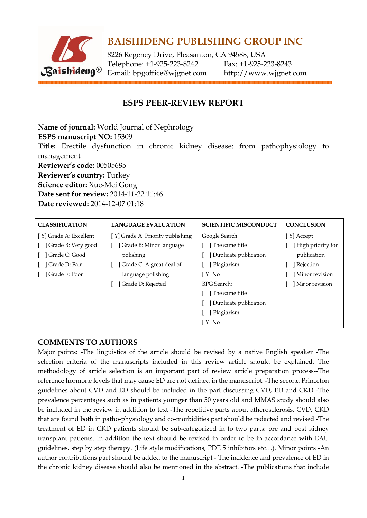

8226 Regency Drive, Pleasanton, CA 94588, USA Telephone: +1-925-223-8242 Fax: +1-925-223-8243 E-mail: bpgoffice@wjgnet.com http://www.wjgnet.com

### **ESPS PEER-REVIEW REPORT**

**Name of journal:** World Journal of Nephrology **ESPS manuscript NO:** 15309 **Title:** Erectile dysfunction in chronic kidney disease: from pathophysiology to management **Reviewer's code:** 00505685 **Reviewer's country:** Turkey **Science editor:** Xue-Mei Gong **Date sent for review:** 2014-11-22 11:46 **Date reviewed:** 2014-12-07 01:18

| <b>CLASSIFICATION</b>  | <b>LANGUAGE EVALUATION</b>       | <b>SCIENTIFIC MISCONDUCT</b> | <b>CONCLUSION</b>   |
|------------------------|----------------------------------|------------------------------|---------------------|
| [Y] Grade A: Excellent | [Y] Grade A: Priority publishing | Google Search:               | [Y] Accept          |
| Grade B: Very good     | Grade B: Minor language          | ] The same title             | ] High priority for |
| Grade C: Good          | polishing                        | Duplicate publication        | publication         |
| Grade D: Fair          | Grade C: A great deal of         | Plagiarism                   | Rejection           |
| Grade E: Poor          | language polishing               | $\lceil Y \rceil$ No         | Minor revision      |
|                        | Grade D: Rejected                | <b>BPG</b> Search:           | Major revision      |
|                        |                                  | ] The same title             |                     |
|                        |                                  | Duplicate publication        |                     |
|                        |                                  | [ Plagiarism                 |                     |
|                        |                                  | [ Y] No                      |                     |

#### **COMMENTS TO AUTHORS**

Major points: -The linguistics of the article should be revised by a native English speaker -The selection criteria of the manuscripts included in this review article should be explained. The methodology of article selection is an important part of review article preparation process--The reference hormone levels that may cause ED are not defined in the manuscript. -The second Princeton guidelines about CVD and ED should be included in the part discussing CVD, ED and CKD -The prevalence percentages such as in patients younger than 50 years old and MMAS study should also be included in the review in addition to text -The repetitive parts about atherosclerosis, CVD, CKD that are found both in patho-physiology and co-morbidities part should be redacted and revised -The treatment of ED in CKD patients should be sub-categorized in to two parts: pre and post kidney transplant patients. In addition the text should be revised in order to be in accordance with EAU guidelines, step by step therapy. (Life style modifications, PDE 5 inhibitors etc…). Minor points -An author contributions part should be added to the manuscript - The incidence and prevalence of ED in the chronic kidney disease should also be mentioned in the abstract. -The publications that include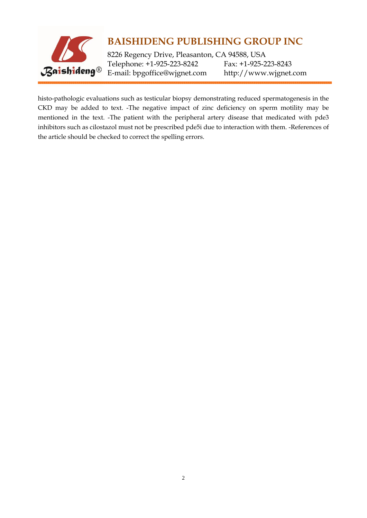

8226 Regency Drive, Pleasanton, CA 94588, USA Telephone: +1-925-223-8242 Fax: +1-925-223-8243 E-mail: bpgoffice@wjgnet.com http://www.wjgnet.com

histo-pathologic evaluations such as testicular biopsy demonstrating reduced spermatogenesis in the CKD may be added to text. -The negative impact of zinc deficiency on sperm motility may be mentioned in the text. -The patient with the peripheral artery disease that medicated with pde3 inhibitors such as cilostazol must not be prescribed pde5i due to interaction with them. -References of the article should be checked to correct the spelling errors.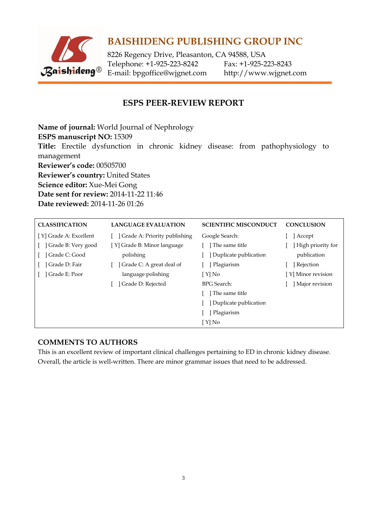

8226 Regency Drive, Pleasanton, CA 94588, USA Telephone: +1-925-223-8242 Fax: +1-925-223-8243 E-mail: bpgoffice@wjgnet.com http://www.wjgnet.com

### **ESPS PEER-REVIEW REPORT**

**Name of journal:** World Journal of Nephrology **ESPS manuscript NO:** 15309 **Title:** Erectile dysfunction in chronic kidney disease: from pathophysiology to management **Reviewer's code:** 00505700 **Reviewer's country:** United States **Science editor:** Xue-Mei Gong **Date sent for review:** 2014-11-22 11:46 **Date reviewed:** 2014-11-26 01:26

| <b>CLASSIFICATION</b>  | <b>LANGUAGE EVALUATION</b>   | <b>SCIENTIFIC MISCONDUCT</b> | <b>CONCLUSION</b>  |
|------------------------|------------------------------|------------------------------|--------------------|
| [Y] Grade A: Excellent | Grade A: Priority publishing | Google Search:               | ] Accept           |
| Grade B: Very good     | [Y] Grade B: Minor language  | The same title               | High priority for  |
| ] Grade C: Good        | polishing                    | Duplicate publication        | publication        |
| Grade D: Fair          | Grade C: A great deal of     | Plagiarism                   | Rejection          |
| Grade E: Poor          | language polishing           | $[ Y]$ No                    | [Y] Minor revision |
|                        | Grade D: Rejected            | <b>BPG</b> Search:           | Major revision     |
|                        |                              | The same title               |                    |
|                        |                              | Duplicate publication        |                    |
|                        |                              | Plagiarism                   |                    |
|                        |                              | $[Y]$ No                     |                    |

#### **COMMENTS TO AUTHORS**

This is an excellent review of important clinical challenges pertaining to ED in chronic kidney disease. Overall, the article is well-written. There are minor grammar issues that need to be addressed.